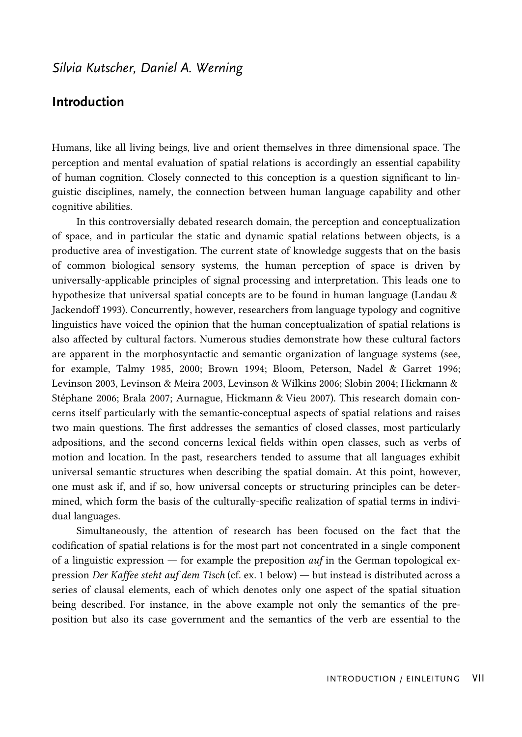## Silvia Kutscher, Daniel A. Werning *Silvia Kutscher, Daniel A. Werning*

## **Introduction**

Humans, like all living beings, live and orient themselves in three dimensional space. The perception and mental evaluation of spatial relations is accordingly an essential capability of human cognition. Closely connected to this conception is a question significant to linguistic disciplines, namely, the connection between human language capability and other cognitive abilities.

 In this controversially debated research domain, the perception and conceptualization of space, and in particular the static and dynamic spatial relations between objects, is a productive area of investigation. The current state of knowledge suggests that on the basis of common biological sensory systems, the human perception of space is driven by universally-applicable principles of signal processing and interpretation. This leads one to hypothesize that universal spatial concepts are to be found in human language (Landau & Jackendoff 1993). Concurrently, however, researchers from language typology and cognitive linguistics have voiced the opinion that the human conceptualization of spatial relations is also affected by cultural factors. Numerous studies demonstrate how these cultural factors are apparent in the morphosyntactic and semantic organization of language systems (see, for example, Talmy 1985, 2000; Brown 1994; Bloom, Peterson, Nadel & Garret 1996; Levinson 2003, Levinson & Meira 2003, Levinson & Wilkins 2006; Slobin 2004; Hickmann & Stéphane 2006; Brala 2007; Aurnague, Hickmann & Vieu 2007). This research domain concerns itself particularly with the semantic-conceptual aspects of spatial relations and raises two main questions. The first addresses the semantics of closed classes, most particularly adpositions, and the second concerns lexical fields within open classes, such as verbs of motion and location. In the past, researchers tended to assume that all languages exhibit universal semantic structures when describing the spatial domain. At this point, however, one must ask if, and if so, how universal concepts or structuring principles can be determined, which form the basis of the culturally-specific realization of spatial terms in individual languages.

 Simultaneously, the attention of research has been focused on the fact that the codification of spatial relations is for the most part not concentrated in a single component of a linguistic expression ― for example the preposition *auf* in the German topological expression *Der Kaffee steht auf dem Tisch* (cf. ex. 1 below) ― but instead is distributed across a series of clausal elements, each of which denotes only one aspect of the spatial situation being described. For instance, in the above example not only the semantics of the preposition but also its case government and the semantics of the verb are essential to the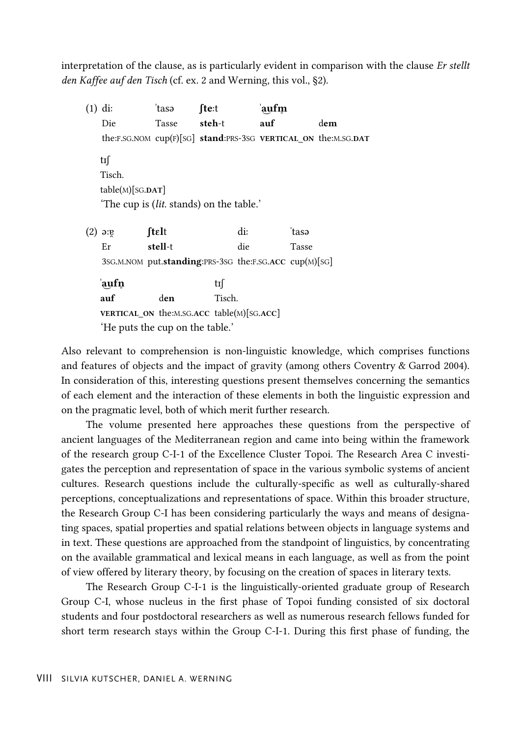interpretation of the clause, as is particularly evident in comparison with the clause *Er stellt den Kaffee auf den Tisch* (cf. ex. 2 and Werning, this vol., §2).

(1) diː ˈtasǝ **ʃte**ːt ˈ**a͜ufm̥** Die Tasse **steh**-t **auf** d**em** the:F.SG.NOM cup(F)[SG] **stand**:PRS-3SG **VERTICAL\_ON** the:M.SG.**DAT** tɪʃ Tisch. table(M)[SG.**DAT**] 'The cup is (*lit.* stands) on the table.' (2) ǝːɐ̯ **ʃtɛl**t diː ˈtasǝ Er **stell**-t die Tasse 3SG.M.NOM put.**standing**:PRS-3SG the:F.SG.**ACC** cup(M)[SG] ˈ**a͜ufn̥** tɪʃ **auf** d**en** Tisch. **VERTICAL\_ON** the:M.SG.**ACC** table(M)[SG.**ACC**] 'He puts the cup on the table.'

Also relevant to comprehension is non-linguistic knowledge, which comprises functions and features of objects and the impact of gravity (among others Coventry & Garrod 2004). In consideration of this, interesting questions present themselves concerning the semantics of each element and the interaction of these elements in both the linguistic expression and on the pragmatic level, both of which merit further research.

 The volume presented here approaches these questions from the perspective of ancient languages of the Mediterranean region and came into being within the framework of the research group C-I-1 of the Excellence Cluster Topoi. The Research Area C investigates the perception and representation of space in the various symbolic systems of ancient cultures. Research questions include the culturally-specific as well as culturally-shared perceptions, conceptualizations and representations of space. Within this broader structure, the Research Group C-I has been considering particularly the ways and means of designating spaces, spatial properties and spatial relations between objects in language systems and in text. These questions are approached from the standpoint of linguistics, by concentrating on the available grammatical and lexical means in each language, as well as from the point of view offered by literary theory, by focusing on the creation of spaces in literary texts.

 The Research Group C-I-1 is the linguistically-oriented graduate group of Research Group C-I, whose nucleus in the first phase of Topoi funding consisted of six doctoral students and four postdoctoral researchers as well as numerous research fellows funded for short term research stays within the Group C-I-1. During this first phase of funding, the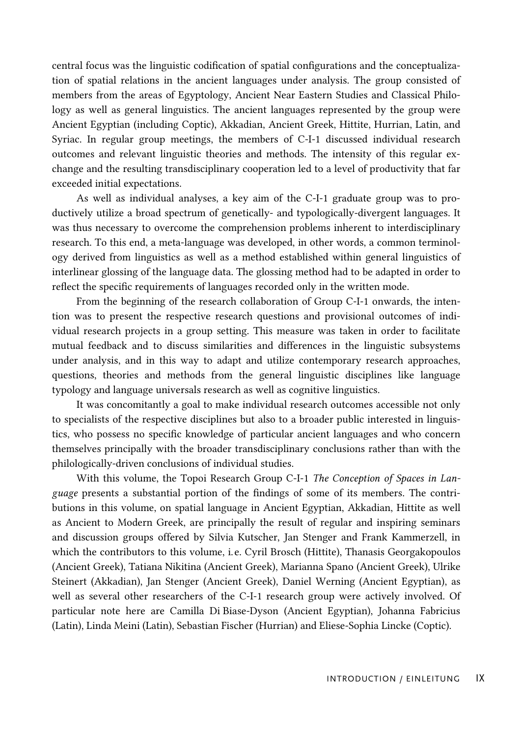central focus was the linguistic codification of spatial configurations and the conceptualization of spatial relations in the ancient languages under analysis. The group consisted of members from the areas of Egyptology, Ancient Near Eastern Studies and Classical Philology as well as general linguistics. The ancient languages represented by the group were Ancient Egyptian (including Coptic), Akkadian, Ancient Greek, Hittite, Hurrian, Latin, and Syriac. In regular group meetings, the members of C-I-1 discussed individual research outcomes and relevant linguistic theories and methods. The intensity of this regular exchange and the resulting transdisciplinary cooperation led to a level of productivity that far exceeded initial expectations.

 As well as individual analyses, a key aim of the C-I-1 graduate group was to productively utilize a broad spectrum of genetically- and typologically-divergent languages. It was thus necessary to overcome the comprehension problems inherent to interdisciplinary research. To this end, a meta-language was developed, in other words, a common terminology derived from linguistics as well as a method established within general linguistics of interlinear glossing of the language data. The glossing method had to be adapted in order to reflect the specific requirements of languages recorded only in the written mode.

 From the beginning of the research collaboration of Group C-I-1 onwards, the intention was to present the respective research questions and provisional outcomes of individual research projects in a group setting. This measure was taken in order to facilitate mutual feedback and to discuss similarities and differences in the linguistic subsystems under analysis, and in this way to adapt and utilize contemporary research approaches, questions, theories and methods from the general linguistic disciplines like language typology and language universals research as well as cognitive linguistics.

 It was concomitantly a goal to make individual research outcomes accessible not only to specialists of the respective disciplines but also to a broader public interested in linguistics, who possess no specific knowledge of particular ancient languages and who concern themselves principally with the broader transdisciplinary conclusions rather than with the philologically-driven conclusions of individual studies.

 With this volume, the Topoi Research Group C-I-1 *The Conception of Spaces in Language* presents a substantial portion of the findings of some of its members. The contributions in this volume, on spatial language in Ancient Egyptian, Akkadian, Hittite as well as Ancient to Modern Greek, are principally the result of regular and inspiring seminars and discussion groups offered by Silvia Kutscher, Jan Stenger and Frank Kammerzell, in which the contributors to this volume, i.e. Cyril Brosch (Hittite), Thanasis Georgakopoulos (Ancient Greek), Tatiana Nikitina (Ancient Greek), Marianna Spano (Ancient Greek), Ulrike Steinert (Akkadian), Jan Stenger (Ancient Greek), Daniel Werning (Ancient Egyptian), as well as several other researchers of the C-I-1 research group were actively involved. Of particular note here are Camilla Di Biase-Dyson (Ancient Egyptian), Johanna Fabricius (Latin), Linda Meini (Latin), Sebastian Fischer (Hurrian) and Eliese-Sophia Lincke (Coptic).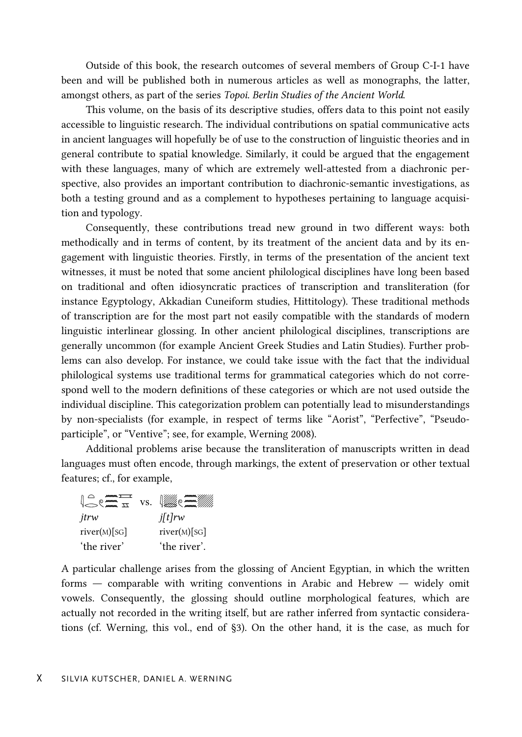Outside of this book, the research outcomes of several members of Group C-I-1 have been and will be published both in numerous articles as well as monographs, the latter, amongst others, as part of the series *Topoi. Berlin Studies of the Ancient World*.

 This volume, on the basis of its descriptive studies, offers data to this point not easily accessible to linguistic research. The individual contributions on spatial communicative acts in ancient languages will hopefully be of use to the construction of linguistic theories and in general contribute to spatial knowledge. Similarly, it could be argued that the engagement with these languages, many of which are extremely well-attested from a diachronic perspective, also provides an important contribution to diachronic-semantic investigations, as both a testing ground and as a complement to hypotheses pertaining to language acquisition and typology.

 Consequently, these contributions tread new ground in two different ways: both methodically and in terms of content, by its treatment of the ancient data and by its engagement with linguistic theories. Firstly, in terms of the presentation of the ancient text witnesses, it must be noted that some ancient philological disciplines have long been based on traditional and often idiosyncratic practices of transcription and transliteration (for instance Egyptology, Akkadian Cuneiform studies, Hittitology). These traditional methods of transcription are for the most part not easily compatible with the standards of modern linguistic interlinear glossing. In other ancient philological disciplines, transcriptions are generally uncommon (for example Ancient Greek Studies and Latin Studies). Further problems can also develop. For instance, we could take issue with the fact that the individual philological systems use traditional terms for grammatical categories which do not correspond well to the modern definitions of these categories or which are not used outside the individual discipline. This categorization problem can potentially lead to misunderstandings by non-specialists (for example, in respect of terms like "Aorist", "Perfective", "Pseudoparticiple", or "Ventive"; see, for example, Werning 2008).

 Additional problems arise because the transliteration of manuscripts written in dead languages must often encode, through markings, the extent of preservation or other textual features; cf., for example,

| $\sqrt{2}$ e $\frac{1}{\pi}$ | VS. | $\mathbb{Z}/\mathbb{Z}$ of $\mathbb{Z}/\mathbb{Z}$ |
|------------------------------|-----|----------------------------------------------------|
| jtrw                         |     | i[t]rw                                             |
| river(M)[SG]                 |     | river(M)[SG]                                       |
| 'the river'                  |     | 'the river'.                                       |

A particular challenge arises from the glossing of Ancient Egyptian, in which the written forms ― comparable with writing conventions in Arabic and Hebrew ― widely omit vowels. Consequently, the glossing should outline morphological features, which are actually not recorded in the writing itself, but are rather inferred from syntactic considerations (cf. Werning, this vol., end of §3). On the other hand, it is the case, as much for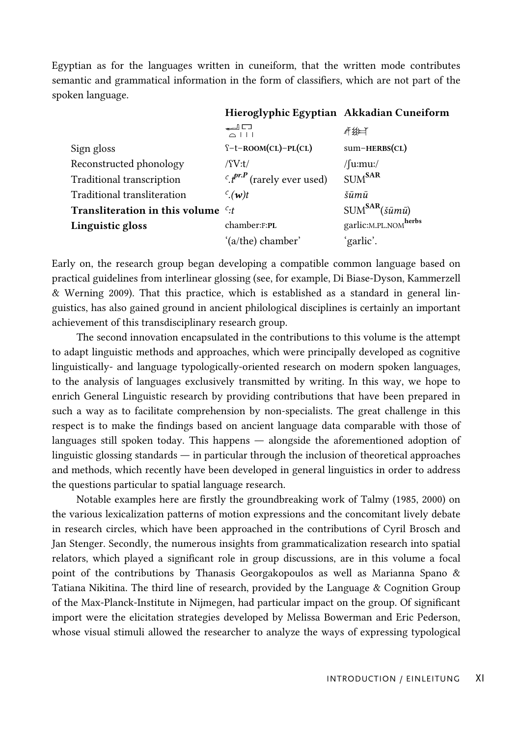Egyptian as for the languages written in cuneiform, that the written mode contributes semantic and grammatical information in the form of classifiers, which are not part of the spoken language.

| Hieroglyphic Egyptian Akkadian Cuneiform |                                    |
|------------------------------------------|------------------------------------|
| ص ہے۔<br>$\sim$ 111                      | √什丝→                               |
| $f-t-Room(CL)-PL(CL)$                    | $sum-HERBS(CL)$                    |
| $\sqrt{\mathrm{SV}}$ :t/                 | $\frac{1}{\text{u}:\text{mu}}$     |
| $c_t^{pr.P}$ (rarely ever used)          | <b>SUM</b> SAR                     |
| $^{c}$ (w)t                              | šūmū                               |
| Transliteration in this volume $c$ :     | $SUMSAR(\check{s}\bar{u}m\bar{u})$ |
| chamber:F:PL                             | garlic:M.PL.NOMherbs               |
| '(a/the) chamber'                        | 'garlic'.                          |
|                                          |                                    |

Early on, the research group began developing a compatible common language based on practical guidelines from interlinear glossing (see, for example, Di Biase-Dyson, Kammerzell & Werning 2009). That this practice, which is established as a standard in general linguistics, has also gained ground in ancient philological disciplines is certainly an important achievement of this transdisciplinary research group.

 The second innovation encapsulated in the contributions to this volume is the attempt to adapt linguistic methods and approaches, which were principally developed as cognitive linguistically- and language typologically-oriented research on modern spoken languages, to the analysis of languages exclusively transmitted by writing. In this way, we hope to enrich General Linguistic research by providing contributions that have been prepared in such a way as to facilitate comprehension by non-specialists. The great challenge in this respect is to make the findings based on ancient language data comparable with those of languages still spoken today. This happens ― alongside the aforementioned adoption of linguistic glossing standards ― in particular through the inclusion of theoretical approaches and methods, which recently have been developed in general linguistics in order to address the questions particular to spatial language research.

 Notable examples here are firstly the groundbreaking work of Talmy (1985, 2000) on the various lexicalization patterns of motion expressions and the concomitant lively debate in research circles, which have been approached in the contributions of Cyril Brosch and Jan Stenger. Secondly, the numerous insights from grammaticalization research into spatial relators, which played a significant role in group discussions, are in this volume a focal point of the contributions by Thanasis Georgakopoulos as well as Marianna Spano & Tatiana Nikitina. The third line of research, provided by the Language & Cognition Group of the Max-Planck-Institute in Nijmegen, had particular impact on the group. Of significant import were the elicitation strategies developed by Melissa Bowerman and Eric Pederson, whose visual stimuli allowed the researcher to analyze the ways of expressing typological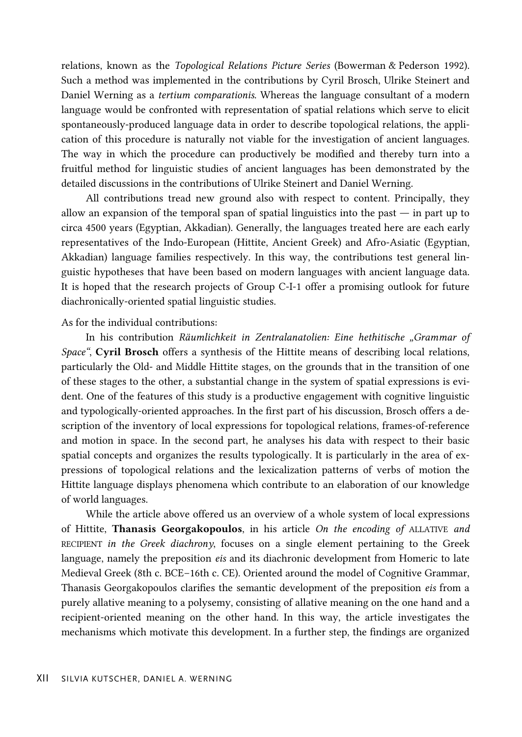relations, known as the *Topological Relations Picture Series* (Bowerman & Pederson 1992). Such a method was implemented in the contributions by Cyril Brosch, Ulrike Steinert and Daniel Werning as a *tertium comparationis*. Whereas the language consultant of a modern language would be confronted with representation of spatial relations which serve to elicit spontaneously-produced language data in order to describe topological relations, the application of this procedure is naturally not viable for the investigation of ancient languages. The way in which the procedure can productively be modified and thereby turn into a fruitful method for linguistic studies of ancient languages has been demonstrated by the detailed discussions in the contributions of Ulrike Steinert and Daniel Werning.

 All contributions tread new ground also with respect to content. Principally, they allow an expansion of the temporal span of spatial linguistics into the past — in part up to circa 4500 years (Egyptian, Akkadian). Generally, the languages treated here are each early representatives of the Indo-European (Hittite, Ancient Greek) and Afro-Asiatic (Egyptian, Akkadian) language families respectively. In this way, the contributions test general linguistic hypotheses that have been based on modern languages with ancient language data. It is hoped that the research projects of Group C-I-1 offer a promising outlook for future diachronically-oriented spatial linguistic studies.

## As for the individual contributions:

 In his contribution *Räumlichkeit in Zentralanatolien: Eine hethitische "Grammar of Space"*, **Cyril Brosch** offers a synthesis of the Hittite means of describing local relations, particularly the Old- and Middle Hittite stages, on the grounds that in the transition of one of these stages to the other, a substantial change in the system of spatial expressions is evident. One of the features of this study is a productive engagement with cognitive linguistic and typologically-oriented approaches. In the first part of his discussion, Brosch offers a description of the inventory of local expressions for topological relations, frames-of-reference and motion in space. In the second part, he analyses his data with respect to their basic spatial concepts and organizes the results typologically. It is particularly in the area of expressions of topological relations and the lexicalization patterns of verbs of motion the Hittite language displays phenomena which contribute to an elaboration of our knowledge of world languages.

 While the article above offered us an overview of a whole system of local expressions of Hittite, **Thanasis Georgakopoulos**, in his article *On the encoding of* ALLATIVE *and*  RECIPIENT *in the Greek diachrony*, focuses on a single element pertaining to the Greek language, namely the preposition *eis* and its diachronic development from Homeric to late Medieval Greek (8th c. BCE–16th c. CE). Oriented around the model of Cognitive Grammar, Thanasis Georgakopoulos clarifies the semantic development of the preposition *eis* from a purely allative meaning to a polysemy, consisting of allative meaning on the one hand and a recipient-oriented meaning on the other hand. In this way, the article investigates the mechanisms which motivate this development. In a further step, the findings are organized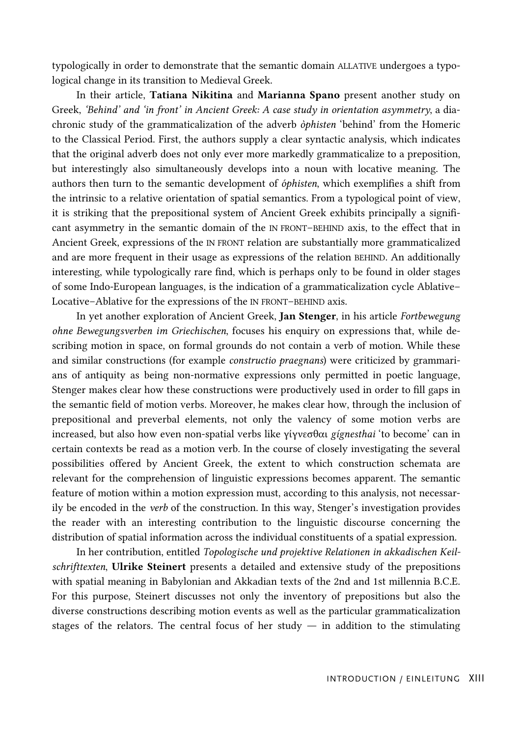typologically in order to demonstrate that the semantic domain ALLATIVE undergoes a typological change in its transition to Medieval Greek.

 In their article, **Tatiana Nikitina** and **Marianna Spano** present another study on Greek, *'Behind' and 'in front' in Ancient Greek: A case study in orientation asymmetry*, a diachronic study of the grammaticalization of the adverb *òphisten* 'behind' from the Homeric to the Classical Period. First, the authors supply a clear syntactic analysis, which indicates that the original adverb does not only ever more markedly grammaticalize to a preposition, but interestingly also simultaneously develops into a noun with locative meaning. The authors then turn to the semantic development of *óphisten*, which exemplifies a shift from the intrinsic to a relative orientation of spatial semantics. From a typological point of view, it is striking that the prepositional system of Ancient Greek exhibits principally a significant asymmetry in the semantic domain of the IN FRONT–BEHIND axis, to the effect that in Ancient Greek, expressions of the IN FRONT relation are substantially more grammaticalized and are more frequent in their usage as expressions of the relation BEHIND. An additionally interesting, while typologically rare find, which is perhaps only to be found in older stages of some Indo-European languages, is the indication of a grammaticalization cycle Ablative– Locative–Ablative for the expressions of the IN FRONT–BEHIND axis.

 In yet another exploration of Ancient Greek, **Jan Stenger**, in his article *Fortbewegung ohne Bewegungsverben im Griechischen*, focuses his enquiry on expressions that, while describing motion in space, on formal grounds do not contain a verb of motion. While these and similar constructions (for example *constructio praegnans*) were criticized by grammarians of antiquity as being non-normative expressions only permitted in poetic language, Stenger makes clear how these constructions were productively used in order to fill gaps in the semantic field of motion verbs. Moreover, he makes clear how, through the inclusion of prepositional and preverbal elements, not only the valency of some motion verbs are increased, but also how even non-spatial verbs like γίγνεσθαι *gígnesthai* 'to become' can in certain contexts be read as a motion verb. In the course of closely investigating the several possibilities offered by Ancient Greek, the extent to which construction schemata are relevant for the comprehension of linguistic expressions becomes apparent. The semantic feature of motion within a motion expression must, according to this analysis, not necessarily be encoded in the *verb* of the construction. In this way, Stenger's investigation provides the reader with an interesting contribution to the linguistic discourse concerning the distribution of spatial information across the individual constituents of a spatial expression.

 In her contribution, entitled *Topologische und projektive Relationen in akkadischen Keilschrifttexten*, **Ulrike Steinert** presents a detailed and extensive study of the prepositions with spatial meaning in Babylonian and Akkadian texts of the 2nd and 1st millennia B.C.E. For this purpose, Steinert discusses not only the inventory of prepositions but also the diverse constructions describing motion events as well as the particular grammaticalization stages of the relators. The central focus of her study  $-$  in addition to the stimulating